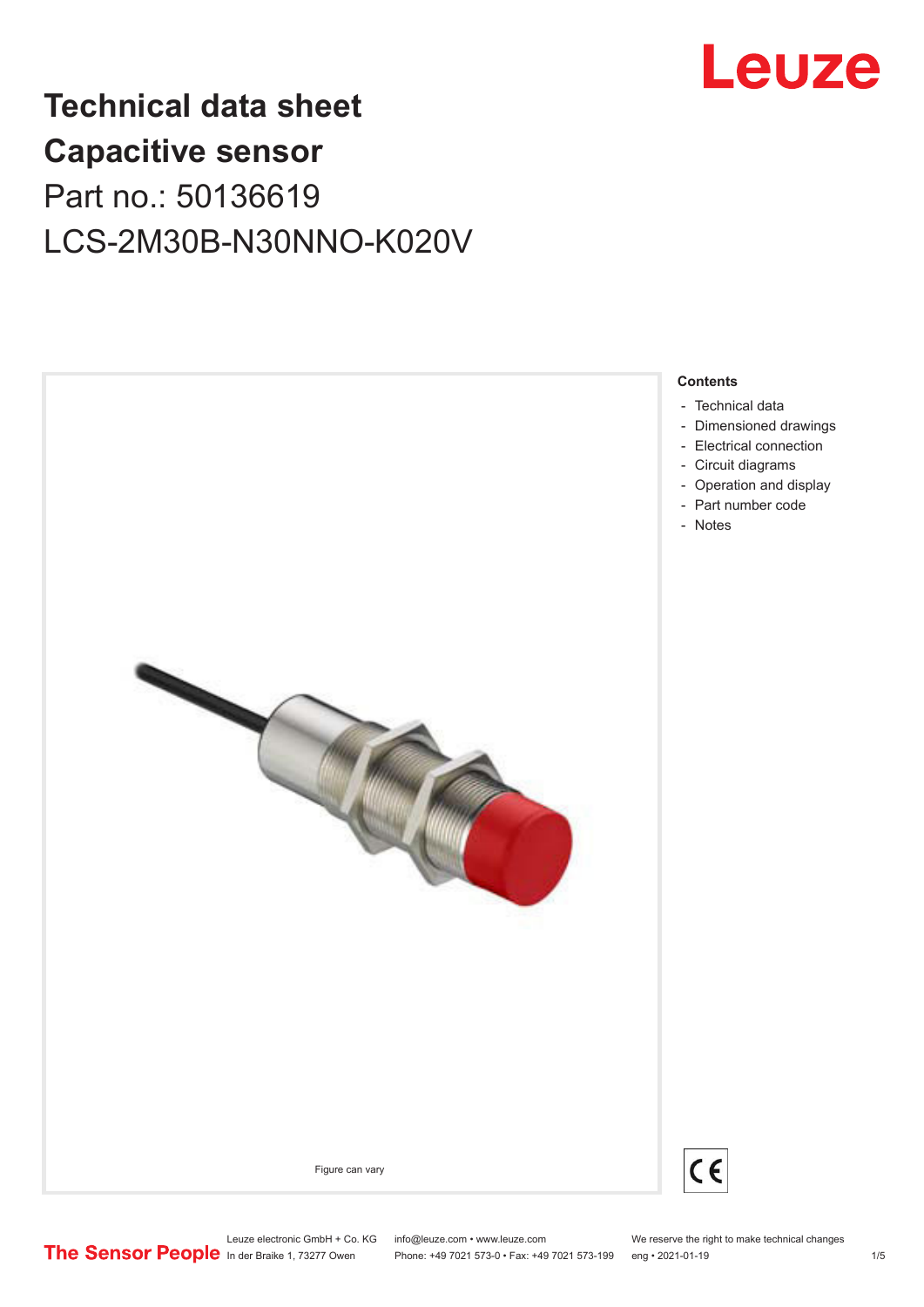

# **Technical data sheet Capacitive sensor** Part no.: 50136619 LCS-2M30B-N30NNO-K020V



Leuze electronic GmbH + Co. KG info@leuze.com • www.leuze.com We reserve the right to make technical changes<br>
The Sensor People in der Braike 1, 73277 Owen Phone: +49 7021 573-0 • Fax: +49 7021 573-199 eng • 2021-01-19

Phone: +49 7021 573-0 • Fax: +49 7021 573-199 eng • 2021-01-19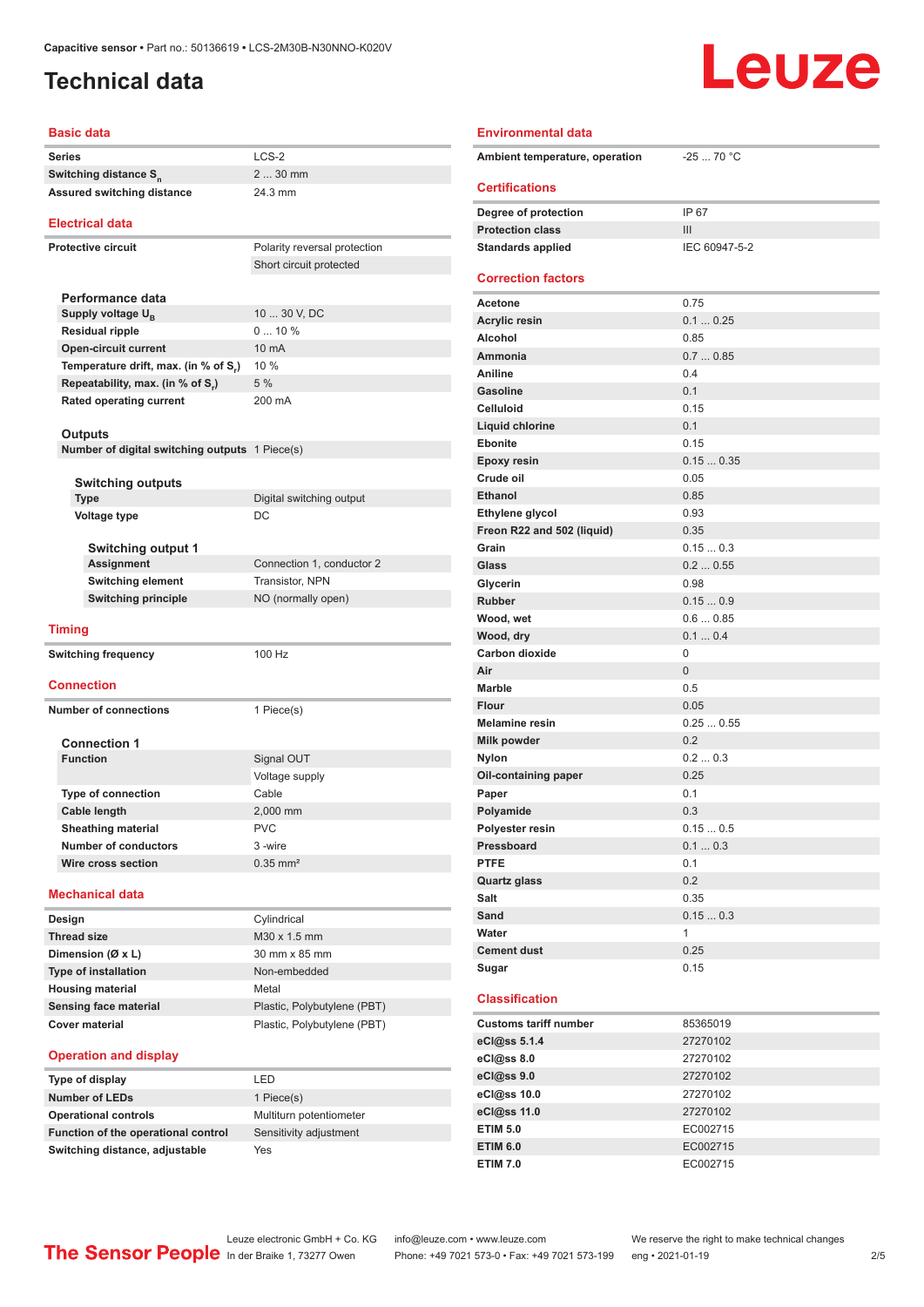## <span id="page-1-0"></span>**Technical data**

# Leuze

| <b>Basic data</b>                                                   |                              | <b>Environmental data</b>      |                |
|---------------------------------------------------------------------|------------------------------|--------------------------------|----------------|
| <b>Series</b>                                                       | LCS-2                        | Ambient temperature, operation | $-2570 °C$     |
| Switching distance S <sub>n</sub>                                   | 2  30 mm                     |                                |                |
| <b>Assured switching distance</b>                                   | 24.3 mm                      | <b>Certifications</b>          |                |
|                                                                     |                              | Degree of protection           | IP 67          |
| <b>Electrical data</b>                                              |                              | <b>Protection class</b>        | III            |
| Protective circuit                                                  | Polarity reversal protection | <b>Standards applied</b>       | IEC 60947-5-2  |
|                                                                     | Short circuit protected      |                                |                |
|                                                                     |                              | <b>Correction factors</b>      |                |
| Performance data                                                    |                              | <b>Acetone</b>                 | 0.75           |
| Supply voltage U <sub>B</sub>                                       | 10  30 V, DC                 | <b>Acrylic resin</b>           | 0.10.25        |
| <b>Residual ripple</b>                                              | 010%<br>10 mA                | Alcohol                        | 0.85           |
| <b>Open-circuit current</b><br>Temperature drift, max. (in % of S,) | 10 %                         | Ammonia                        | 0.70.85        |
| Repeatability, max. (in % of S.)                                    | 5 %                          | Aniline                        | 0.4            |
| Rated operating current                                             | 200 mA                       | <b>Gasoline</b>                | 0.1            |
|                                                                     |                              | <b>Celluloid</b>               | 0.15           |
| <b>Outputs</b>                                                      |                              | Liquid chlorine                | 0.1            |
| Number of digital switching outputs 1 Piece(s)                      |                              | <b>Ebonite</b>                 | 0.15           |
|                                                                     |                              | Epoxy resin                    | 0.150.35       |
| <b>Switching outputs</b>                                            |                              | Crude oil                      | 0.05           |
| <b>Type</b>                                                         | Digital switching output     | <b>Ethanol</b>                 | 0.85           |
| Voltage type                                                        | DC                           | Ethylene glycol                | 0.93           |
|                                                                     |                              | Freon R22 and 502 (liquid)     | 0.35           |
| <b>Switching output 1</b>                                           |                              | Grain                          | 0.150.3        |
| <b>Assignment</b>                                                   | Connection 1, conductor 2    | Glass                          | 0.20.55        |
| <b>Switching element</b>                                            | Transistor, NPN              | Glycerin                       | 0.98           |
| <b>Switching principle</b>                                          | NO (normally open)           | <b>Rubber</b>                  | 0.150.9        |
| <b>Timing</b>                                                       |                              | Wood, wet                      | 0.60.85        |
|                                                                     |                              | Wood, dry                      | 0.10.4         |
| <b>Switching frequency</b>                                          | 100 Hz                       | <b>Carbon dioxide</b>          | $\mathbf 0$    |
| Connection                                                          |                              | Air                            | $\mathbf{0}$   |
|                                                                     |                              | <b>Marble</b>                  | 0.5            |
| <b>Number of connections</b>                                        | 1 Piece(s)                   | Flour                          | 0.05           |
|                                                                     |                              | <b>Melamine resin</b>          | 0.250.55       |
| <b>Connection 1</b>                                                 |                              | Milk powder                    | 0.2            |
| <b>Function</b>                                                     | Signal OUT                   | Nylon                          | 0.20.3         |
|                                                                     | Voltage supply               | Oil-containing paper           | 0.25           |
| <b>Type of connection</b>                                           | Cable                        | Paper                          | 0.1            |
| Cable length                                                        | 2,000 mm                     | Polyamide<br>Polyester resin   | 0.3<br>0.150.5 |
| <b>Sheathing material</b><br><b>Number of conductors</b>            | <b>PVC</b><br>3-wire         | Pressboard                     | 0.10.3         |
| Wire cross section                                                  | $0.35$ mm <sup>2</sup>       | <b>PTFE</b>                    | 0.1            |
|                                                                     |                              | <b>Quartz glass</b>            | 0.2            |
| Mechanical data                                                     |                              | Salt                           | 0.35           |
|                                                                     |                              | Sand                           | 0.150.3        |
| Design                                                              | Cylindrical<br>M30 x 1.5 mm  | Water                          | $\mathbf{1}$   |
| <b>Thread size</b>                                                  | 30 mm x 85 mm                | <b>Cement dust</b>             | 0.25           |
| Dimension (Ø x L)                                                   | Non-embedded                 | Sugar                          | 0.15           |
| <b>Type of installation</b>                                         | Metal                        |                                |                |
| <b>Housing material</b><br><b>Sensing face material</b>             | Plastic, Polybutylene (PBT)  | <b>Classification</b>          |                |
| <b>Cover material</b>                                               | Plastic, Polybutylene (PBT)  | <b>Customs tariff number</b>   | 85365019       |
|                                                                     |                              | eCl@ss 5.1.4                   | 27270102       |
| <b>Operation and display</b>                                        |                              | eCl@ss 8.0                     | 27270102       |
| Type of display                                                     | LED                          | eCl@ss 9.0                     | 27270102       |
|                                                                     |                              |                                |                |

### **Oil-containing paper** 0.25 **Paper** 0.1 **Polyamide** 0.3 **Polyester resin** 0.15 ... 0.5 **Pressboard** 0.1 ... 0.3 **PTFE** 0.1 **Quartz glass** 0.2 **Salt** 0.35 **Sand** 0.15 ... 0.3 **Water** 1 **Cement dust** 0.25 **Sugar** 0.15 **Classification Customs tariff number** 85365019 **eCl@ss 5.1.4** 27270102 **eCl@ss 8.0** 27270102 **eCl@ss 9.0** 27270102 **eCl@ss 10.0** 27270102 **eCl@ss 11.0** 27270102 **ETIM 5.0** EC002715 **ETIM 6.0** EC002715

**Switching distance, adjustable** Yes

**Number of LEDs** 1 Piece(s) **Operational controls** Multiturn potentiometer **Function of the operational control** Sensitivity adjustment

Leuze electronic GmbH + Co. KG info@leuze.com • www.leuze.com We reserve the right to make technical changes<br>
The Sensor People in der Braike 1, 73277 Owen Phone: +49 7021 573-0 • Fax: +49 7021 573-199 eng • 2021-01-19 Phone: +49 7021 573-0 • Fax: +49 7021 573-199 eng • 2021-01-19 2/5

**ETIM 7.0** EC002715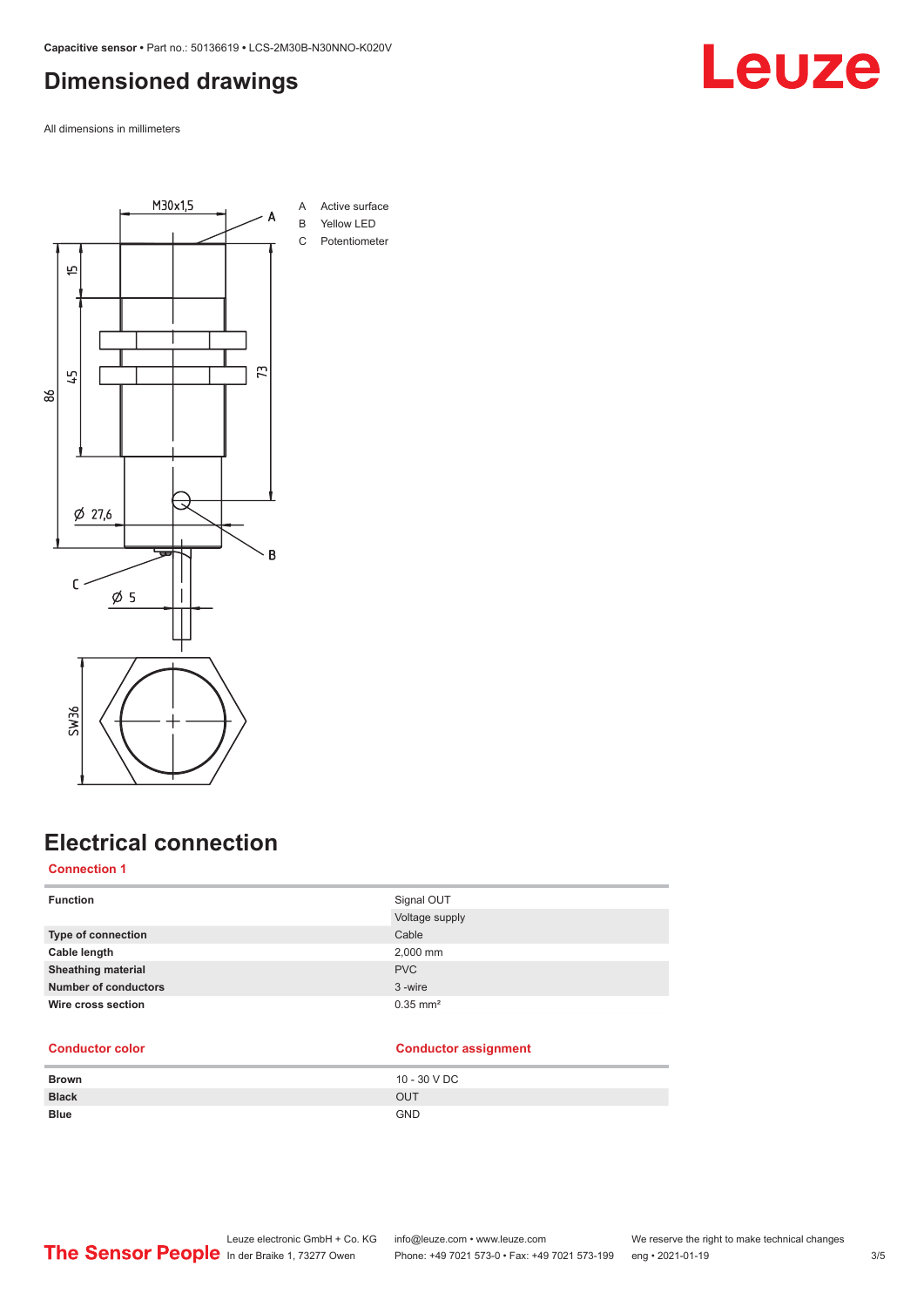### <span id="page-2-0"></span>**Dimensioned drawings**

All dimensions in millimeters



### **Electrical connection**

### **Connection 1**

| <b>Function</b>           | Signal OUT             |
|---------------------------|------------------------|
|                           | Voltage supply         |
| Type of connection        | Cable                  |
| Cable length              | 2,000 mm               |
| <b>Sheathing material</b> | <b>PVC</b>             |
| Number of conductors      | 3-wire                 |
| Wire cross section        | $0.35$ mm <sup>2</sup> |
|                           |                        |

### **Conductor color Conductor assignment**

| <b>Brown</b> | 10 - 30 V DC |
|--------------|--------------|
| <b>Black</b> | <b>OUT</b>   |
| <b>Blue</b>  | <b>GND</b>   |

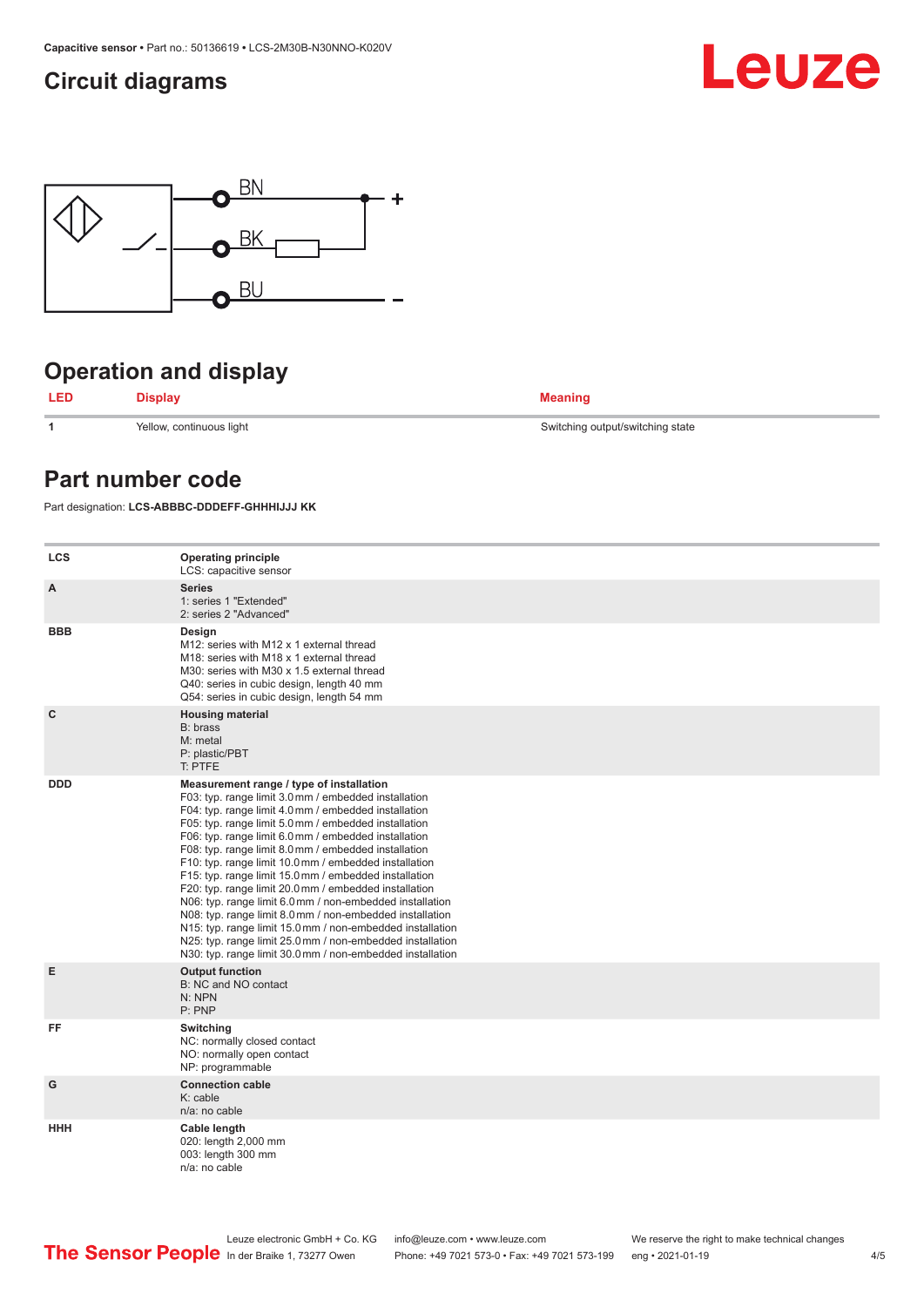### <span id="page-3-0"></span>**Circuit diagrams**





# **Operation and display**



**1** Yellow, continuous light Switching output/switching state

### **Part number code**

Part designation: **LCS-ABBBC-DDDEFF-GHHHIJJJ KK**

| <b>LCS</b>   | <b>Operating principle</b><br>LCS: capacitive sensor                                                                                                                                                                                                                                                                                                                                                                                                                                                                                                                                                                                                                                                                                                                                                                       |
|--------------|----------------------------------------------------------------------------------------------------------------------------------------------------------------------------------------------------------------------------------------------------------------------------------------------------------------------------------------------------------------------------------------------------------------------------------------------------------------------------------------------------------------------------------------------------------------------------------------------------------------------------------------------------------------------------------------------------------------------------------------------------------------------------------------------------------------------------|
| A            | <b>Series</b><br>1: series 1 "Extended"<br>2: series 2 "Advanced"                                                                                                                                                                                                                                                                                                                                                                                                                                                                                                                                                                                                                                                                                                                                                          |
| <b>BBB</b>   | Design<br>M12: series with M12 x 1 external thread<br>M18: series with M18 x 1 external thread<br>M30: series with M30 x 1.5 external thread<br>Q40: series in cubic design, length 40 mm<br>Q54: series in cubic design, length 54 mm                                                                                                                                                                                                                                                                                                                                                                                                                                                                                                                                                                                     |
| $\mathbf{C}$ | <b>Housing material</b><br>B: brass<br>M: metal<br>P: plastic/PBT<br>T: PTFE                                                                                                                                                                                                                                                                                                                                                                                                                                                                                                                                                                                                                                                                                                                                               |
| <b>DDD</b>   | Measurement range / type of installation<br>F03: typ. range limit 3.0 mm / embedded installation<br>F04: typ. range limit 4.0 mm / embedded installation<br>F05: typ. range limit 5.0 mm / embedded installation<br>F06: typ. range limit 6.0 mm / embedded installation<br>F08: typ. range limit 8.0 mm / embedded installation<br>F10: typ. range limit 10.0 mm / embedded installation<br>F15: typ. range limit 15.0 mm / embedded installation<br>F20: typ. range limit 20.0 mm / embedded installation<br>N06: typ. range limit 6.0 mm / non-embedded installation<br>N08: typ. range limit 8.0 mm / non-embedded installation<br>N15: typ. range limit 15.0 mm / non-embedded installation<br>N25: typ. range limit 25.0 mm / non-embedded installation<br>N30: typ. range limit 30.0 mm / non-embedded installation |
| E            | <b>Output function</b><br>B: NC and NO contact<br>N: NPN<br>P: PNP                                                                                                                                                                                                                                                                                                                                                                                                                                                                                                                                                                                                                                                                                                                                                         |
| FF           | Switching<br>NC: normally closed contact<br>NO: normally open contact<br>NP: programmable                                                                                                                                                                                                                                                                                                                                                                                                                                                                                                                                                                                                                                                                                                                                  |
| G            | <b>Connection cable</b><br>K: cable<br>n/a: no cable                                                                                                                                                                                                                                                                                                                                                                                                                                                                                                                                                                                                                                                                                                                                                                       |
| <b>HHH</b>   | Cable length<br>020: length 2,000 mm<br>003: length 300 mm<br>$n/a$ : no cable                                                                                                                                                                                                                                                                                                                                                                                                                                                                                                                                                                                                                                                                                                                                             |